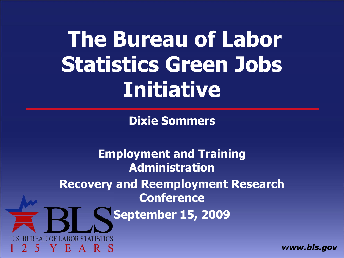**The Bureau of Labor Statistics Green Jobs Initiative**

**Dixie Sommers** 

**Employment and Training Administration Recovery and Reemployment Research Conference September 15, 2009 DF LABOR STAT** - 13  $\mathbf{A}$ 

*www.bls.gov*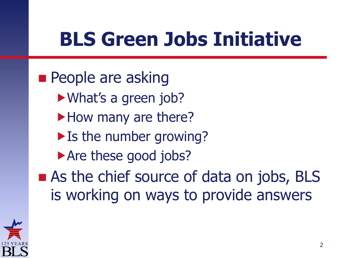#### **BLS Green Jobs Initiative**

**People are asking** What's a green job? How many are there? If the number growing? Are these good jobs? ■ As the chief source of data on jobs, BLS is working on ways to provide answers

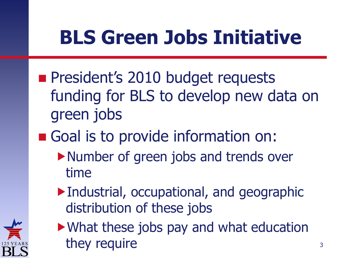### **BLS Green Jobs Initiative**

- **President's 2010 budget requests** funding for BLS to develop new data on green jobs
- Goal is to provide information on:
	- ▶Number of green jobs and trends over time
	- Industrial, occupational, and geographic distribution of these jobs



What these jobs pay and what education they require  $3<sup>3</sup>$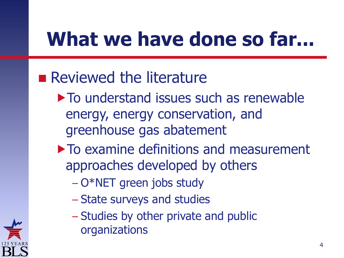### **What we have done so far...**

#### **Reviewed the literature**

- $\triangleright$  To understand issues such as renewable energy, energy conservation, and greenhouse gas abatement
- approaches developed by others  $\triangleright$  To examine definitions and measurement
	- O\*NET green jobs study
	- State surveys and studies
	- Studies by other private and public organizations

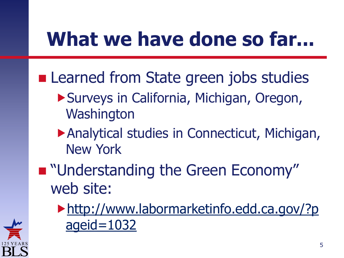### **What we have done so far...**

- **Learned from State green jobs studies** 
	- Surveys in California, Michigan, Oregon, **Washington**
	- Analytical studies in Connecticut, Michigan, New York
- **" "Understanding the Green Economy"** web site:
	- [http://www.labormarketinfo.edd.ca.gov/?p](http://www.labormarketinfo.edd.ca.gov/?pageid=1032)  [ageid=1032](http://www.labormarketinfo.edd.ca.gov/?pageid=1032)

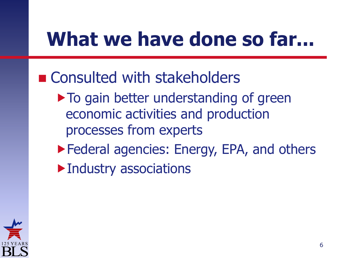### **What we have done so far...**

- Consulted with stakeholders
	- $\triangleright$  To gain better understanding of green economic activities and production processes from experts
	- ▶ Federal agencies: Energy, EPA, and others
	- Industry associations

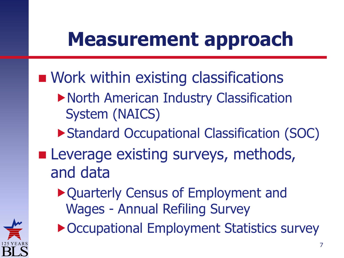### **Measurement approach**

- **Nork within existing classifications** 
	- North American Industry Classification System (NAICS)
	- ▶ Standard Occupational Classification (SOC)
- **Leverage existing surveys, methods,** and data
	- Quarterly Census of Employment and Wages - Annual Refiling Survey



▶ Occupational Employment Statistics survey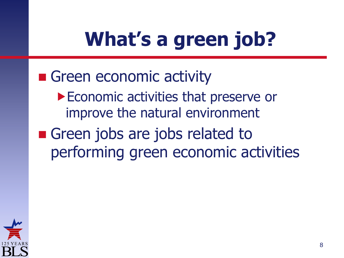#### Green economic activity ▶ Economic activities that preserve or improve the natural environment

Green jobs are jobs related to performing green economic activities

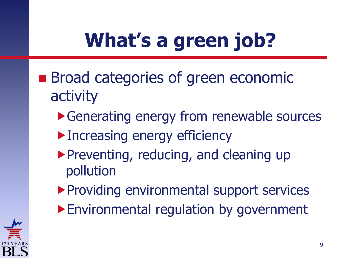- **Broad categories of green economic** activity
	- ▶ Generating energy from renewable sources
	- **Increasing energy efficiency**
	- Preventing, reducing, and cleaning up pollution
	- **Providing environmental support services**
	- Environmental regulation by government

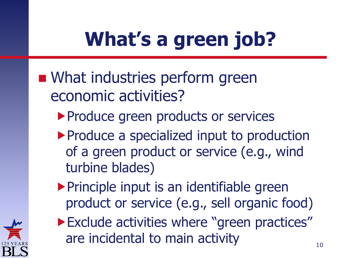- **NHAT Industries perform green** economic activities?
	- **Produce green products or services**
	- **Produce a specialized input to production** of a green product or service (e.g., wind turbine blades)
	- $\triangleright$  Principle input is an identifiable green product or service (e.g., sell organic food)



**Exclude activities where "green practices"** are incidental to main activity  $10^{10}$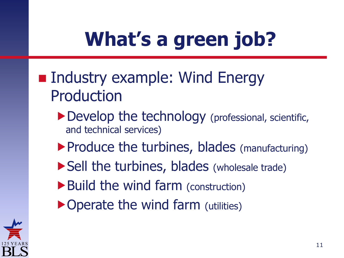- **Industry example: Wind Energy** Production
	- ▶ Develop the technology (professional, scientific, and technical services)
	- ▶ Produce the turbines, blades (manufacturing)
	- ▶ Sell the turbines, blades (wholesale trade)
	- ▶ Build the wind farm (construction)
	- ▶ Operate the wind farm (utilities)

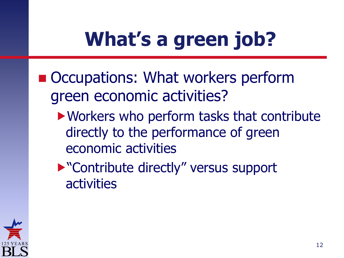- Occupations: What workers perform green economic activities?
	- Workers who perform tasks that contribute directly to the performance of green economic activities

▶ "Contribute directly" versus support activities

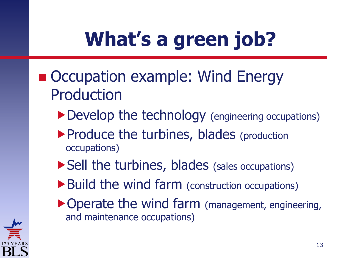- Occupation example: Wind Energy Production
	- Develop the technology (engineering occupations)
	- ▶ Produce the turbines, blades (production occupations)
	- ▶ Sell the turbines, blades (sales occupations)
	- ▶ Build the wind farm (construction occupations)
	- ▶ Operate the wind farm (management, engineering, and maintenance occupations)

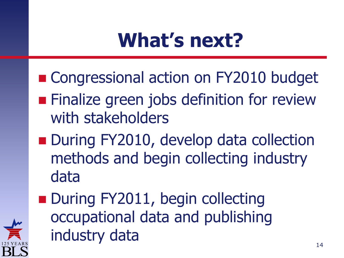#### **What's next?**

- Congressional action on FY2010 budget
- **Finalize green jobs definition for review** with stakeholders
- During FY2010, develop data collection methods and begin collecting industry data
- During FY2011, begin collecting occupational data and publishing industry data  $14$